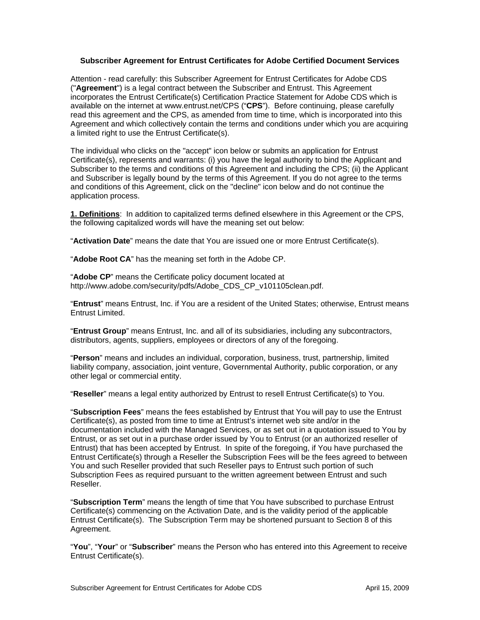### **Subscriber Agreement for Entrust Certificates for Adobe Certified Document Services**

Attention - read carefully: this Subscriber Agreement for Entrust Certificates for Adobe CDS ("**Agreement**") is a legal contract between the Subscriber and Entrust. This Agreement incorporates the Entrust Certificate(s) Certification Practice Statement for Adobe CDS which is available on the internet at www.entrust.net/CPS ("**CPS**"). Before continuing, please carefully read this agreement and the CPS, as amended from time to time, which is incorporated into this Agreement and which collectively contain the terms and conditions under which you are acquiring a limited right to use the Entrust Certificate(s).

The individual who clicks on the "accept" icon below or submits an application for Entrust Certificate(s), represents and warrants: (i) you have the legal authority to bind the Applicant and Subscriber to the terms and conditions of this Agreement and including the CPS; (ii) the Applicant and Subscriber is legally bound by the terms of this Agreement. If you do not agree to the terms and conditions of this Agreement, click on the "decline" icon below and do not continue the application process.

**1. Definitions**: In addition to capitalized terms defined elsewhere in this Agreement or the CPS, the following capitalized words will have the meaning set out below:

"**Activation Date**" means the date that You are issued one or more Entrust Certificate(s).

"**Adobe Root CA**" has the meaning set forth in the Adobe CP.

"**Adobe CP**" means the Certificate policy document located at http://www.adobe.com/security/pdfs/Adobe\_CDS\_CP\_v101105clean.pdf.

"**Entrust**" means Entrust, Inc. if You are a resident of the United States; otherwise, Entrust means Entrust Limited.

"**Entrust Group**" means Entrust, Inc. and all of its subsidiaries, including any subcontractors, distributors, agents, suppliers, employees or directors of any of the foregoing.

"**Person**" means and includes an individual, corporation, business, trust, partnership, limited liability company, association, joint venture, Governmental Authority, public corporation, or any other legal or commercial entity.

"**Reseller**" means a legal entity authorized by Entrust to resell Entrust Certificate(s) to You.

"**Subscription Fees**" means the fees established by Entrust that You will pay to use the Entrust Certificate(s), as posted from time to time at Entrust's internet web site and/or in the documentation included with the Managed Services, or as set out in a quotation issued to You by Entrust, or as set out in a purchase order issued by You to Entrust (or an authorized reseller of Entrust) that has been accepted by Entrust. In spite of the foregoing, if You have purchased the Entrust Certificate(s) through a Reseller the Subscription Fees will be the fees agreed to between You and such Reseller provided that such Reseller pays to Entrust such portion of such Subscription Fees as required pursuant to the written agreement between Entrust and such Reseller.

"**Subscription Term**" means the length of time that You have subscribed to purchase Entrust Certificate(s) commencing on the Activation Date, and is the validity period of the applicable Entrust Certificate(s). The Subscription Term may be shortened pursuant to Section 8 of this Agreement.

"**You**", "**Your**" or "**Subscriber**" means the Person who has entered into this Agreement to receive Entrust Certificate(s).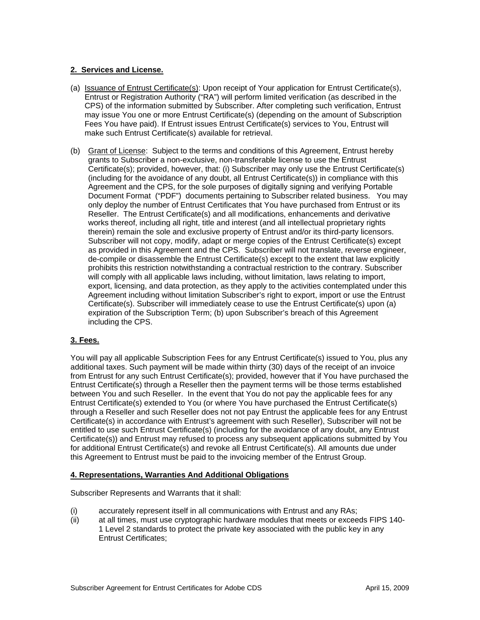# **2. Services and License.**

- (a) Issuance of Entrust Certificate(s): Upon receipt of Your application for Entrust Certificate(s), Entrust or Registration Authority ("RA") will perform limited verification (as described in the CPS) of the information submitted by Subscriber. After completing such verification, Entrust may issue You one or more Entrust Certificate(s) (depending on the amount of Subscription Fees You have paid). If Entrust issues Entrust Certificate(s) services to You, Entrust will make such Entrust Certificate(s) available for retrieval.
- (b) Grant of License: Subject to the terms and conditions of this Agreement, Entrust hereby grants to Subscriber a non-exclusive, non-transferable license to use the Entrust Certificate(s); provided, however, that: (i) Subscriber may only use the Entrust Certificate(s) (including for the avoidance of any doubt, all Entrust Certificate(s)) in compliance with this Agreement and the CPS, for the sole purposes of digitally signing and verifying Portable Document Format ("PDF") documents pertaining to Subscriber related business. You may only deploy the number of Entrust Certificates that You have purchased from Entrust or its Reseller. The Entrust Certificate(s) and all modifications, enhancements and derivative works thereof, including all right, title and interest (and all intellectual proprietary rights therein) remain the sole and exclusive property of Entrust and/or its third-party licensors. Subscriber will not copy, modify, adapt or merge copies of the Entrust Certificate(s) except as provided in this Agreement and the CPS. Subscriber will not translate, reverse engineer, de-compile or disassemble the Entrust Certificate(s) except to the extent that law explicitly prohibits this restriction notwithstanding a contractual restriction to the contrary. Subscriber will comply with all applicable laws including, without limitation, laws relating to import, export, licensing, and data protection, as they apply to the activities contemplated under this Agreement including without limitation Subscriber's right to export, import or use the Entrust Certificate(s). Subscriber will immediately cease to use the Entrust Certificate(s) upon (a) expiration of the Subscription Term; (b) upon Subscriber's breach of this Agreement including the CPS.

# **3. Fees.**

You will pay all applicable Subscription Fees for any Entrust Certificate(s) issued to You, plus any additional taxes. Such payment will be made within thirty (30) days of the receipt of an invoice from Entrust for any such Entrust Certificate(s); provided, however that if You have purchased the Entrust Certificate(s) through a Reseller then the payment terms will be those terms established between You and such Reseller. In the event that You do not pay the applicable fees for any Entrust Certificate(s) extended to You (or where You have purchased the Entrust Certificate(s) through a Reseller and such Reseller does not not pay Entrust the applicable fees for any Entrust Certificate(s) in accordance with Entrust's agreement with such Reseller), Subscriber will not be entitled to use such Entrust Certificate(s) (including for the avoidance of any doubt, any Entrust Certificate(s)) and Entrust may refused to process any subsequent applications submitted by You for additional Entrust Certificate(s) and revoke all Entrust Certificate(s). All amounts due under this Agreement to Entrust must be paid to the invoicing member of the Entrust Group.

#### **4. Representations, Warranties And Additional Obligations**

Subscriber Represents and Warrants that it shall:

- (i) accurately represent itself in all communications with Entrust and any RAs;<br>(ii) at all times, must use cryptographic hardware modules that meets or excee
- at all times, must use cryptographic hardware modules that meets or exceeds FIPS 140-1 Level 2 standards to protect the private key associated with the public key in any Entrust Certificates;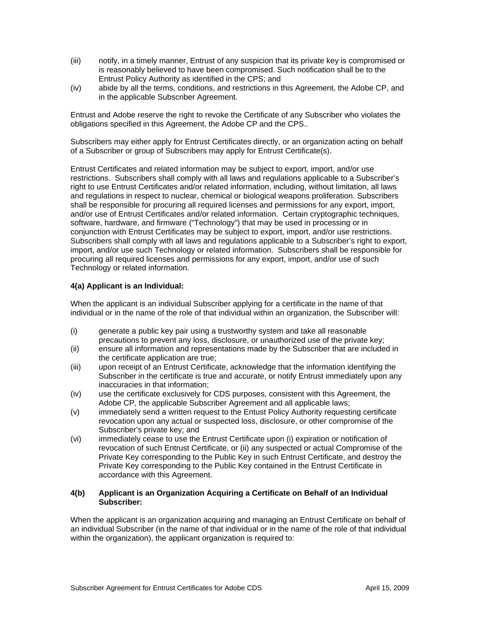- (iii) notify, in a timely manner, Entrust of any suspicion that its private key is compromised or is reasonably believed to have been compromised. Such notification shall be to the Entrust Policy Authority as identified in the CPS; and
- (iv) abide by all the terms, conditions, and restrictions in this Agreement, the Adobe CP, and in the applicable Subscriber Agreement.

Entrust and Adobe reserve the right to revoke the Certificate of any Subscriber who violates the obligations specified in this Agreement, the Adobe CP and the CPS..

Subscribers may either apply for Entrust Certificates directly, or an organization acting on behalf of a Subscriber or group of Subscribers may apply for Entrust Certificate(s).

Entrust Certificates and related information may be subject to export, import, and/or use restrictions. Subscribers shall comply with all laws and regulations applicable to a Subscriber's right to use Entrust Certificates and/or related information, including, without limitation, all laws and regulations in respect to nuclear, chemical or biological weapons proliferation. Subscribers shall be responsible for procuring all required licenses and permissions for any export, import, and/or use of Entrust Certificates and/or related information. Certain cryptographic techniques, software, hardware, and firmware ("Technology") that may be used in processing or in conjunction with Entrust Certificates may be subject to export, import, and/or use restrictions. Subscribers shall comply with all laws and regulations applicable to a Subscriber's right to export, import, and/or use such Technology or related information. Subscribers shall be responsible for procuring all required licenses and permissions for any export, import, and/or use of such Technology or related information.

### **4(a) Applicant is an Individual:**

When the applicant is an individual Subscriber applying for a certificate in the name of that individual or in the name of the role of that individual within an organization, the Subscriber will:

- (i) generate a public key pair using a trustworthy system and take all reasonable precautions to prevent any loss, disclosure, or unauthorized use of the private key;
- (ii) ensure all information and representations made by the Subscriber that are included in the certificate application are true;
- (iii) upon receipt of an Entrust Certificate, acknowledge that the information identifying the Subscriber in the certificate is true and accurate, or notify Entrust immediately upon any inaccuracies in that information;
- (iv) use the certificate exclusively for CDS purposes, consistent with this Agreement, the Adobe CP, the applicable Subscriber Agreement and all applicable laws;
- (v) immediately send a written request to the Entust Policy Authority requesting certificate revocation upon any actual or suspected loss, disclosure, or other compromise of the Subscriber's private key; and
- (vi) immediately cease to use the Entrust Certificate upon (i) expiration or notification of revocation of such Entrust Certificate, or (ii) any suspected or actual Compromise of the Private Key corresponding to the Public Key in such Entrust Certificate, and destroy the Private Key corresponding to the Public Key contained in the Entrust Certificate in accordance with this Agreement.

### **4(b) Applicant is an Organization Acquiring a Certificate on Behalf of an Individual Subscriber:**

When the applicant is an organization acquiring and managing an Entrust Certificate on behalf of an individual Subscriber (in the name of that individual or in the name of the role of that individual within the organization), the applicant organization is required to: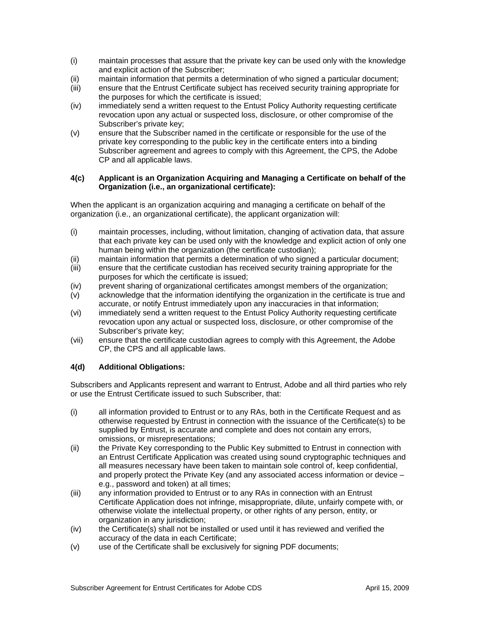- (i) maintain processes that assure that the private key can be used only with the knowledge and explicit action of the Subscriber;
- (ii) maintain information that permits a determination of who signed a particular document;
- (iii) ensure that the Entrust Certificate subject has received security training appropriate for the purposes for which the certificate is issued;
- (iv) immediately send a written request to the Entust Policy Authority requesting certificate revocation upon any actual or suspected loss, disclosure, or other compromise of the Subscriber's private key;
- (v) ensure that the Subscriber named in the certificate or responsible for the use of the private key corresponding to the public key in the certificate enters into a binding Subscriber agreement and agrees to comply with this Agreement, the CPS, the Adobe CP and all applicable laws.

#### **4(c) Applicant is an Organization Acquiring and Managing a Certificate on behalf of the Organization (i.e., an organizational certificate):**

When the applicant is an organization acquiring and managing a certificate on behalf of the organization (i.e., an organizational certificate), the applicant organization will:

- (i) maintain processes, including, without limitation, changing of activation data, that assure that each private key can be used only with the knowledge and explicit action of only one human being within the organization (the certificate custodian);
- (ii) maintain information that permits a determination of who signed a particular document;
- (iii) ensure that the certificate custodian has received security training appropriate for the purposes for which the certificate is issued;
- (iv) prevent sharing of organizational certificates amongst members of the organization;
- (v) acknowledge that the information identifying the organization in the certificate is true and accurate, or notify Entrust immediately upon any inaccuracies in that information;
- (vi) immediately send a written request to the Entust Policy Authority requesting certificate revocation upon any actual or suspected loss, disclosure, or other compromise of the Subscriber's private key;
- (vii) ensure that the certificate custodian agrees to comply with this Agreement, the Adobe CP, the CPS and all applicable laws.

# **4(d) Additional Obligations:**

Subscribers and Applicants represent and warrant to Entrust, Adobe and all third parties who rely or use the Entrust Certificate issued to such Subscriber, that:

- (i) all information provided to Entrust or to any RAs, both in the Certificate Request and as otherwise requested by Entrust in connection with the issuance of the Certificate(s) to be supplied by Entrust, is accurate and complete and does not contain any errors, omissions, or misrepresentations;
- (ii) the Private Key corresponding to the Public Key submitted to Entrust in connection with an Entrust Certificate Application was created using sound cryptographic techniques and all measures necessary have been taken to maintain sole control of, keep confidential, and properly protect the Private Key (and any associated access information or device – e.g., password and token) at all times;
- (iii) any information provided to Entrust or to any RAs in connection with an Entrust Certificate Application does not infringe, misappropriate, dilute, unfairly compete with, or otherwise violate the intellectual property, or other rights of any person, entity, or organization in any jurisdiction;
- (iv) the Certificate(s) shall not be installed or used until it has reviewed and verified the accuracy of the data in each Certificate;
- (v) use of the Certificate shall be exclusively for signing PDF documents;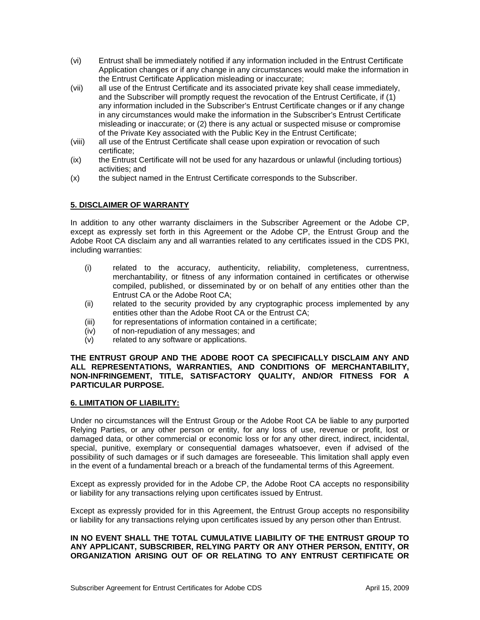- (vi) Entrust shall be immediately notified if any information included in the Entrust Certificate Application changes or if any change in any circumstances would make the information in the Entrust Certificate Application misleading or inaccurate;
- (vii) all use of the Entrust Certificate and its associated private key shall cease immediately, and the Subscriber will promptly request the revocation of the Entrust Certificate, if (1) any information included in the Subscriber's Entrust Certificate changes or if any change in any circumstances would make the information in the Subscriber's Entrust Certificate misleading or inaccurate; or (2) there is any actual or suspected misuse or compromise of the Private Key associated with the Public Key in the Entrust Certificate;
- (viii) all use of the Entrust Certificate shall cease upon expiration or revocation of such certificate;
- (ix) the Entrust Certificate will not be used for any hazardous or unlawful (including tortious) activities; and
- (x) the subject named in the Entrust Certificate corresponds to the Subscriber.

# **5. DISCLAIMER OF WARRANTY**

In addition to any other warranty disclaimers in the Subscriber Agreement or the Adobe CP, except as expressly set forth in this Agreement or the Adobe CP, the Entrust Group and the Adobe Root CA disclaim any and all warranties related to any certificates issued in the CDS PKI, including warranties:

- (i) related to the accuracy, authenticity, reliability, completeness, currentness, merchantability, or fitness of any information contained in certificates or otherwise compiled, published, or disseminated by or on behalf of any entities other than the Entrust CA or the Adobe Root CA;
- (ii) related to the security provided by any cryptographic process implemented by any entities other than the Adobe Root CA or the Entrust CA;
- (iii) for representations of information contained in a certificate;
- (iv) of non-repudiation of any messages; and
- (v) related to any software or applications.

#### **THE ENTRUST GROUP AND THE ADOBE ROOT CA SPECIFICALLY DISCLAIM ANY AND ALL REPRESENTATIONS, WARRANTIES, AND CONDITIONS OF MERCHANTABILITY, NON-INFRINGEMENT, TITLE, SATISFACTORY QUALITY, AND/OR FITNESS FOR A PARTICULAR PURPOSE.**

#### **6. LIMITATION OF LIABILITY:**

Under no circumstances will the Entrust Group or the Adobe Root CA be liable to any purported Relying Parties, or any other person or entity, for any loss of use, revenue or profit, lost or damaged data, or other commercial or economic loss or for any other direct, indirect, incidental, special, punitive, exemplary or consequential damages whatsoever, even if advised of the possibility of such damages or if such damages are foreseeable. This limitation shall apply even in the event of a fundamental breach or a breach of the fundamental terms of this Agreement.

Except as expressly provided for in the Adobe CP, the Adobe Root CA accepts no responsibility or liability for any transactions relying upon certificates issued by Entrust.

Except as expressly provided for in this Agreement, the Entrust Group accepts no responsibility or liability for any transactions relying upon certificates issued by any person other than Entrust.

## **IN NO EVENT SHALL THE TOTAL CUMULATIVE LIABILITY OF THE ENTRUST GROUP TO ANY APPLICANT, SUBSCRIBER, RELYING PARTY OR ANY OTHER PERSON, ENTITY, OR ORGANIZATION ARISING OUT OF OR RELATING TO ANY ENTRUST CERTIFICATE OR**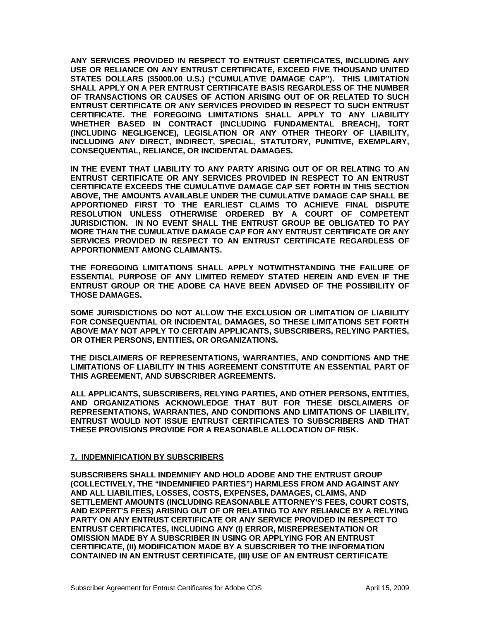**ANY SERVICES PROVIDED IN RESPECT TO ENTRUST CERTIFICATES, INCLUDING ANY USE OR RELIANCE ON ANY ENTRUST CERTIFICATE, EXCEED FIVE THOUSAND UNITED STATES DOLLARS (\$5000.00 U.S.) ("CUMULATIVE DAMAGE CAP"). THIS LIMITATION SHALL APPLY ON A PER ENTRUST CERTIFICATE BASIS REGARDLESS OF THE NUMBER OF TRANSACTIONS OR CAUSES OF ACTION ARISING OUT OF OR RELATED TO SUCH ENTRUST CERTIFICATE OR ANY SERVICES PROVIDED IN RESPECT TO SUCH ENTRUST CERTIFICATE. THE FOREGOING LIMITATIONS SHALL APPLY TO ANY LIABILITY WHETHER BASED IN CONTRACT (INCLUDING FUNDAMENTAL BREACH), TORT (INCLUDING NEGLIGENCE), LEGISLATION OR ANY OTHER THEORY OF LIABILITY, INCLUDING ANY DIRECT, INDIRECT, SPECIAL, STATUTORY, PUNITIVE, EXEMPLARY, CONSEQUENTIAL, RELIANCE, OR INCIDENTAL DAMAGES.** 

**IN THE EVENT THAT LIABILITY TO ANY PARTY ARISING OUT OF OR RELATING TO AN ENTRUST CERTIFICATE OR ANY SERVICES PROVIDED IN RESPECT TO AN ENTRUST CERTIFICATE EXCEEDS THE CUMULATIVE DAMAGE CAP SET FORTH IN THIS SECTION ABOVE, THE AMOUNTS AVAILABLE UNDER THE CUMULATIVE DAMAGE CAP SHALL BE APPORTIONED FIRST TO THE EARLIEST CLAIMS TO ACHIEVE FINAL DISPUTE RESOLUTION UNLESS OTHERWISE ORDERED BY A COURT OF COMPETENT JURISDICTION. IN NO EVENT SHALL THE ENTRUST GROUP BE OBLIGATED TO PAY MORE THAN THE CUMULATIVE DAMAGE CAP FOR ANY ENTRUST CERTIFICATE OR ANY SERVICES PROVIDED IN RESPECT TO AN ENTRUST CERTIFICATE REGARDLESS OF APPORTIONMENT AMONG CLAIMANTS.** 

**THE FOREGOING LIMITATIONS SHALL APPLY NOTWITHSTANDING THE FAILURE OF ESSENTIAL PURPOSE OF ANY LIMITED REMEDY STATED HEREIN AND EVEN IF THE ENTRUST GROUP OR THE ADOBE CA HAVE BEEN ADVISED OF THE POSSIBILITY OF THOSE DAMAGES.** 

**SOME JURISDICTIONS DO NOT ALLOW THE EXCLUSION OR LIMITATION OF LIABILITY FOR CONSEQUENTIAL OR INCIDENTAL DAMAGES, SO THESE LIMITATIONS SET FORTH ABOVE MAY NOT APPLY TO CERTAIN APPLICANTS, SUBSCRIBERS, RELYING PARTIES, OR OTHER PERSONS, ENTITIES, OR ORGANIZATIONS.** 

**THE DISCLAIMERS OF REPRESENTATIONS, WARRANTIES, AND CONDITIONS AND THE LIMITATIONS OF LIABILITY IN THIS AGREEMENT CONSTITUTE AN ESSENTIAL PART OF THIS AGREEMENT, AND SUBSCRIBER AGREEMENTS.** 

**ALL APPLICANTS, SUBSCRIBERS, RELYING PARTIES, AND OTHER PERSONS, ENTITIES, AND ORGANIZATIONS ACKNOWLEDGE THAT BUT FOR THESE DISCLAIMERS OF REPRESENTATIONS, WARRANTIES, AND CONDITIONS AND LIMITATIONS OF LIABILITY, ENTRUST WOULD NOT ISSUE ENTRUST CERTIFICATES TO SUBSCRIBERS AND THAT THESE PROVISIONS PROVIDE FOR A REASONABLE ALLOCATION OF RISK.** 

#### **7. INDEMNIFICATION BY SUBSCRIBERS**

**SUBSCRIBERS SHALL INDEMNIFY AND HOLD ADOBE AND THE ENTRUST GROUP (COLLECTIVELY, THE "INDEMNIFIED PARTIES") HARMLESS FROM AND AGAINST ANY AND ALL LIABILITIES, LOSSES, COSTS, EXPENSES, DAMAGES, CLAIMS, AND SETTLEMENT AMOUNTS (INCLUDING REASONABLE ATTORNEY'S FEES, COURT COSTS, AND EXPERT'S FEES) ARISING OUT OF OR RELATING TO ANY RELIANCE BY A RELYING PARTY ON ANY ENTRUST CERTIFICATE OR ANY SERVICE PROVIDED IN RESPECT TO ENTRUST CERTIFICATES, INCLUDING ANY (I) ERROR, MISREPRESENTATION OR OMISSION MADE BY A SUBSCRIBER IN USING OR APPLYING FOR AN ENTRUST CERTIFICATE, (II) MODIFICATION MADE BY A SUBSCRIBER TO THE INFORMATION CONTAINED IN AN ENTRUST CERTIFICATE, (III) USE OF AN ENTRUST CERTIFICATE**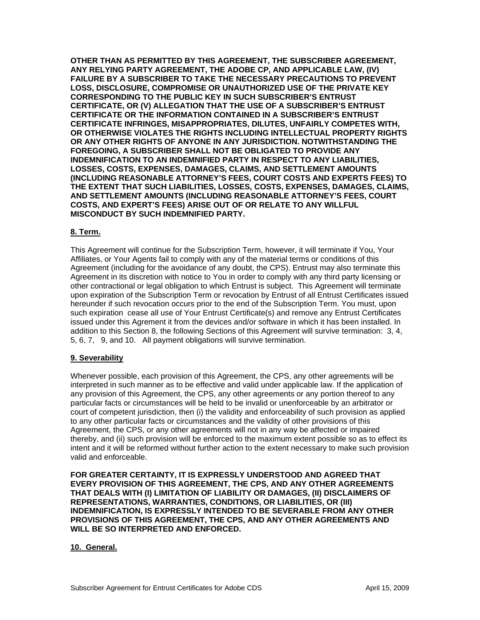**OTHER THAN AS PERMITTED BY THIS AGREEMENT, THE SUBSCRIBER AGREEMENT, ANY RELYING PARTY AGREEMENT, THE ADOBE CP, AND APPLICABLE LAW, (IV) FAILURE BY A SUBSCRIBER TO TAKE THE NECESSARY PRECAUTIONS TO PREVENT LOSS, DISCLOSURE, COMPROMISE OR UNAUTHORIZED USE OF THE PRIVATE KEY CORRESPONDING TO THE PUBLIC KEY IN SUCH SUBSCRIBER'S ENTRUST CERTIFICATE, OR (V) ALLEGATION THAT THE USE OF A SUBSCRIBER'S ENTRUST CERTIFICATE OR THE INFORMATION CONTAINED IN A SUBSCRIBER'S ENTRUST CERTIFICATE INFRINGES, MISAPPROPRIATES, DILUTES, UNFAIRLY COMPETES WITH, OR OTHERWISE VIOLATES THE RIGHTS INCLUDING INTELLECTUAL PROPERTY RIGHTS OR ANY OTHER RIGHTS OF ANYONE IN ANY JURISDICTION. NOTWITHSTANDING THE FOREGOING, A SUBSCRIBER SHALL NOT BE OBLIGATED TO PROVIDE ANY INDEMNIFICATION TO AN INDEMNIFIED PARTY IN RESPECT TO ANY LIABILITIES, LOSSES, COSTS, EXPENSES, DAMAGES, CLAIMS, AND SETTLEMENT AMOUNTS (INCLUDING REASONABLE ATTORNEY'S FEES, COURT COSTS AND EXPERTS FEES) TO THE EXTENT THAT SUCH LIABILITIES, LOSSES, COSTS, EXPENSES, DAMAGES, CLAIMS, AND SETTLEMENT AMOUNTS (INCLUDING REASONABLE ATTORNEY'S FEES, COURT COSTS, AND EXPERT'S FEES) ARISE OUT OF OR RELATE TO ANY WILLFUL MISCONDUCT BY SUCH INDEMNIFIED PARTY.** 

### **8. Term.**

This Agreement will continue for the Subscription Term, however, it will terminate if You, Your Affiliates, or Your Agents fail to comply with any of the material terms or conditions of this Agreement (including for the avoidance of any doubt, the CPS). Entrust may also terminate this Agreement in its discretion with notice to You in order to comply with any third party licensing or other contractional or legal obligation to which Entrust is subject. This Agreement will terminate upon expiration of the Subscription Term or revocation by Entrust of all Entrust Certificates issued hereunder if such revocation occurs prior to the end of the Subscription Term. You must, upon such expiration cease all use of Your Entrust Certificate(s) and remove any Entrust Certificates issued under this Agrement it from the devices and/or software in which it has been installed. In addition to this Section 8, the following Sections of this Agreement will survive termination: 3, 4, 5, 6, 7, 9, and 10. All payment obligations will survive termination.

# **9. Severability**

Whenever possible, each provision of this Agreement, the CPS, any other agreements will be interpreted in such manner as to be effective and valid under applicable law. If the application of any provision of this Agreement, the CPS, any other agreements or any portion thereof to any particular facts or circumstances will be held to be invalid or unenforceable by an arbitrator or court of competent jurisdiction, then (i) the validity and enforceability of such provision as applied to any other particular facts or circumstances and the validity of other provisions of this Agreement, the CPS, or any other agreements will not in any way be affected or impaired thereby, and (ii) such provision will be enforced to the maximum extent possible so as to effect its intent and it will be reformed without further action to the extent necessary to make such provision valid and enforceable.

**FOR GREATER CERTAINTY, IT IS EXPRESSLY UNDERSTOOD AND AGREED THAT EVERY PROVISION OF THIS AGREEMENT, THE CPS, AND ANY OTHER AGREEMENTS THAT DEALS WITH (I) LIMITATION OF LIABILITY OR DAMAGES, (II) DISCLAIMERS OF REPRESENTATIONS, WARRANTIES, CONDITIONS, OR LIABILITIES, OR (III) INDEMNIFICATION, IS EXPRESSLY INTENDED TO BE SEVERABLE FROM ANY OTHER PROVISIONS OF THIS AGREEMENT, THE CPS, AND ANY OTHER AGREEMENTS AND WILL BE SO INTERPRETED AND ENFORCED.** 

### **10. General.**